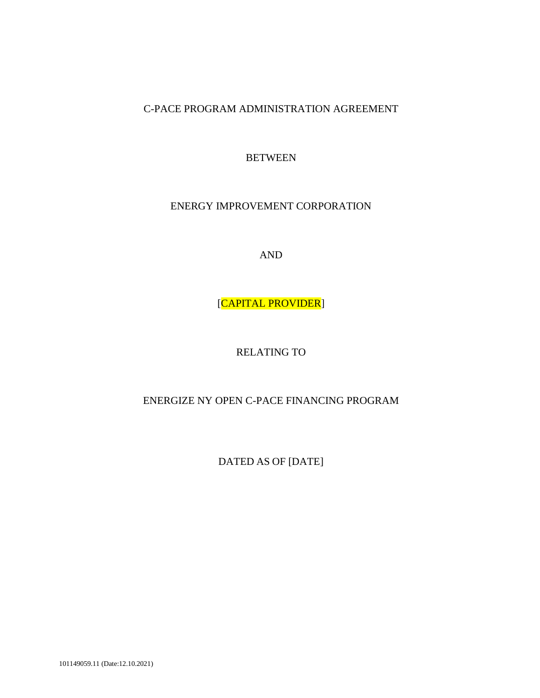C-PACE PROGRAM ADMINISTRATION AGREEMENT

BETWEEN

ENERGY IMPROVEMENT CORPORATION

AND

[CAPITAL PROVIDER]

RELATING TO

ENERGIZE NY OPEN C-PACE FINANCING PROGRAM

DATED AS OF [DATE]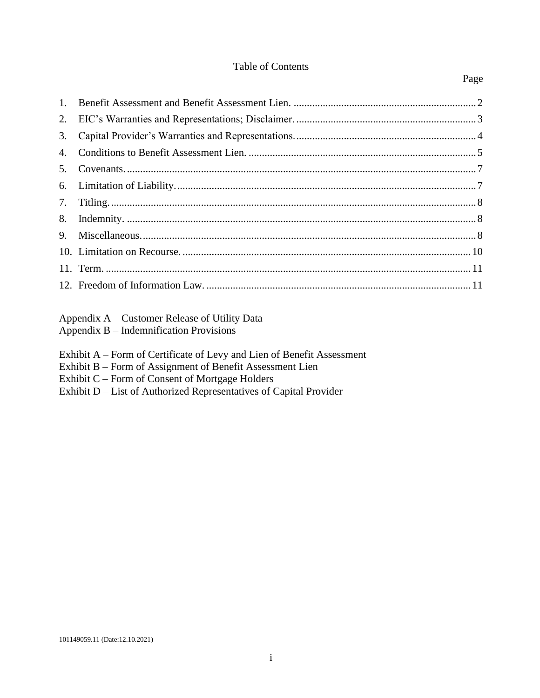### Table of Contents

# Appendix A – Customer Release of Utility Data

Appendix B – Indemnification Provisions

- Exhibit A Form of Certificate of Levy and Lien of Benefit Assessment
- Exhibit B Form of Assignment of Benefit Assessment Lien
- Exhibit C Form of Consent of Mortgage Holders
- Exhibit D List of Authorized Representatives of Capital Provider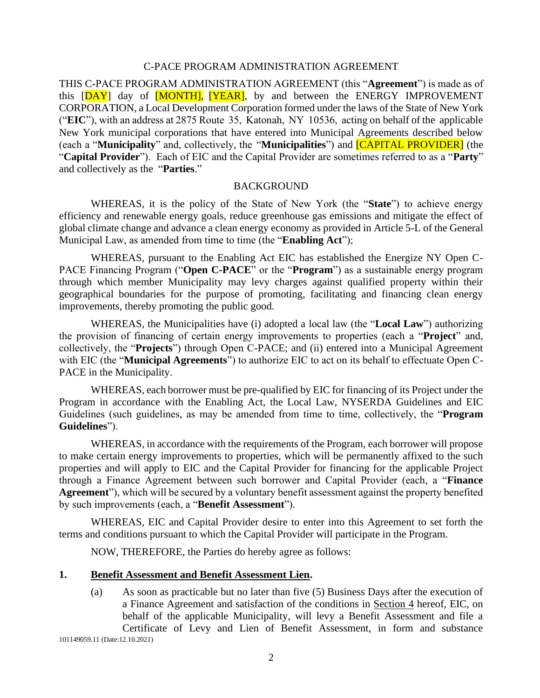#### C-PACE PROGRAM ADMINISTRATION AGREEMENT

THIS C-PACE PROGRAM ADMINISTRATION AGREEMENT (this "**Agreement**") is made as of this [DAY] day of [MONTH], [YEAR], by and between the ENERGY IMPROVEMENT CORPORATION, a Local Development Corporation formed under the laws of the State of New York ("**EIC**"), with an address at 2875 Route 35, Katonah, NY 10536, acting on behalf of the applicable New York municipal corporations that have entered into Municipal Agreements described below (each a "**Municipality**" and, collectively, the "**Municipalities**") and [CAPITAL PROVIDER] (the "**Capital Provider**"). Each of EIC and the Capital Provider are sometimes referred to as a "**Party**" and collectively as the "**Parties**."

#### **BACKGROUND**

WHEREAS, it is the policy of the State of New York (the "**State**") to achieve energy efficiency and renewable energy goals, reduce greenhouse gas emissions and mitigate the effect of global climate change and advance a clean energy economy as provided in Article 5-L of the General Municipal Law, as amended from time to time (the "**Enabling Act**");

WHEREAS, pursuant to the Enabling Act EIC has established the Energize NY Open C-PACE Financing Program ("**Open C-PACE**" or the "**Program**") as a sustainable energy program through which member Municipality may levy charges against qualified property within their geographical boundaries for the purpose of promoting, facilitating and financing clean energy improvements, thereby promoting the public good.

WHEREAS, the Municipalities have (i) adopted a local law (the "**Local Law**") authorizing the provision of financing of certain energy improvements to properties (each a "**Project**" and, collectively, the "**Projects**") through Open C-PACE; and (ii) entered into a Municipal Agreement with EIC (the "**Municipal Agreements**") to authorize EIC to act on its behalf to effectuate Open C-PACE in the Municipality.

WHEREAS, each borrower must be pre-qualified by EIC for financing of its Project under the Program in accordance with the Enabling Act, the Local Law, NYSERDA Guidelines and EIC Guidelines (such guidelines, as may be amended from time to time, collectively, the "**Program Guidelines**").

WHEREAS, in accordance with the requirements of the Program, each borrower will propose to make certain energy improvements to properties, which will be permanently affixed to the such properties and will apply to EIC and the Capital Provider for financing for the applicable Project through a Finance Agreement between such borrower and Capital Provider (each, a "**Finance Agreement**"), which will be secured by a voluntary benefit assessment against the property benefited by such improvements (each, a "**Benefit Assessment**").

WHEREAS, EIC and Capital Provider desire to enter into this Agreement to set forth the terms and conditions pursuant to which the Capital Provider will participate in the Program.

NOW, THEREFORE, the Parties do hereby agree as follows:

#### <span id="page-2-0"></span>**1. Benefit Assessment and Benefit Assessment Lien.**

(a) As soon as practicable but no later than five (5) Business Days after the execution of a Finance Agreement and satisfaction of the conditions in Section [4](#page-5-0) hereof, EIC, on behalf of the applicable Municipality, will levy a Benefit Assessment and file a Certificate of Levy and Lien of Benefit Assessment, in form and substance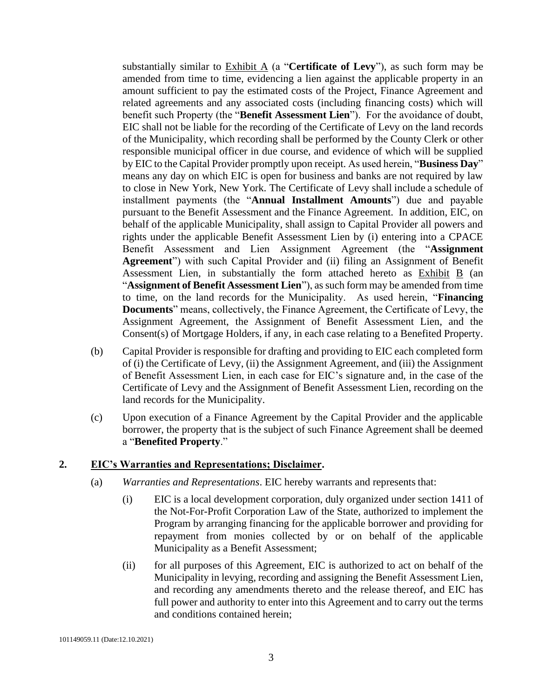substantially similar to Exhibit A (a "**Certificate of Levy**"), as such form may be amended from time to time, evidencing a lien against the applicable property in an amount sufficient to pay the estimated costs of the Project, Finance Agreement and related agreements and any associated costs (including financing costs) which will benefit such Property (the "**Benefit Assessment Lien**"). For the avoidance of doubt, EIC shall not be liable for the recording of the Certificate of Levy on the land records of the Municipality, which recording shall be performed by the County Clerk or other responsible municipal officer in due course, and evidence of which will be supplied by EIC to the Capital Provider promptly upon receipt. As used herein, "**Business Day**" means any day on which EIC is open for business and banks are not required by law to close in New York, New York. The Certificate of Levy shall include a schedule of installment payments (the "**Annual Installment Amounts**") due and payable pursuant to the Benefit Assessment and the Finance Agreement. In addition, EIC, on behalf of the applicable Municipality, shall assign to Capital Provider all powers and rights under the applicable Benefit Assessment Lien by (i) entering into a CPACE Benefit Assessment and Lien Assignment Agreement (the "**Assignment Agreement**") with such Capital Provider and (ii) filing an Assignment of Benefit Assessment Lien, in substantially the form attached hereto as Exhibit B (an "**Assignment of Benefit Assessment Lien**"), as such form may be amended from time to time, on the land records for the Municipality. As used herein, "**Financing Documents**" means, collectively, the Finance Agreement, the Certificate of Levy, the Assignment Agreement, the Assignment of Benefit Assessment Lien, and the Consent(s) of Mortgage Holders, if any, in each case relating to a Benefited Property.

- (b) Capital Provider is responsible for drafting and providing to EIC each completed form of (i) the Certificate of Levy, (ii) the Assignment Agreement, and (iii) the Assignment of Benefit Assessment Lien, in each case for EIC's signature and, in the case of the Certificate of Levy and the Assignment of Benefit Assessment Lien, recording on the land records for the Municipality.
- (c) Upon execution of a Finance Agreement by the Capital Provider and the applicable borrower, the property that is the subject of such Finance Agreement shall be deemed a "**Benefited Property**."

### <span id="page-3-0"></span>**2. EIC's Warranties and Representations; Disclaimer.**

- (a) *Warranties and Representations*. EIC hereby warrants and represents that:
	- (i) EIC is a local development corporation, duly organized under section 1411 of the Not-For-Profit Corporation Law of the State, authorized to implement the Program by arranging financing for the applicable borrower and providing for repayment from monies collected by or on behalf of the applicable Municipality as a Benefit Assessment;
	- (ii) for all purposes of this Agreement, EIC is authorized to act on behalf of the Municipality in levying, recording and assigning the Benefit Assessment Lien, and recording any amendments thereto and the release thereof, and EIC has full power and authority to enter into this Agreement and to carry out the terms and conditions contained herein;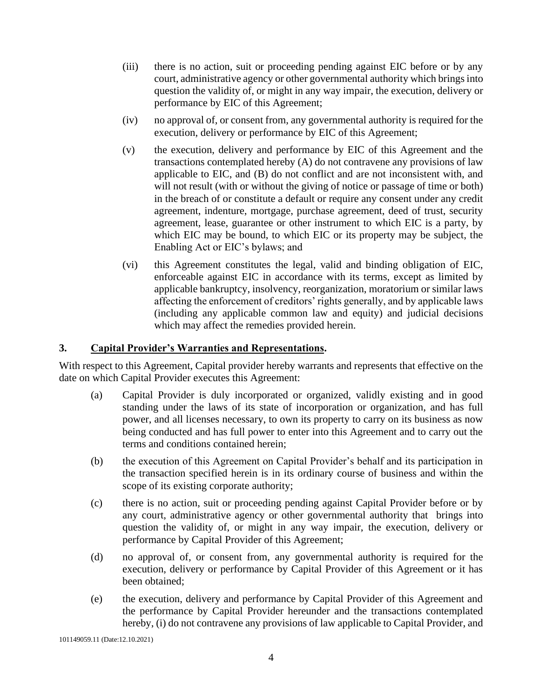- (iii) there is no action, suit or proceeding pending against EIC before or by any court, administrative agency or other governmental authority which brings into question the validity of, or might in any way impair, the execution, delivery or performance by EIC of this Agreement;
- (iv) no approval of, or consent from, any governmental authority is required for the execution, delivery or performance by EIC of this Agreement;
- (v) the execution, delivery and performance by EIC of this Agreement and the transactions contemplated hereby (A) do not contravene any provisions of law applicable to EIC, and (B) do not conflict and are not inconsistent with, and will not result (with or without the giving of notice or passage of time or both) in the breach of or constitute a default or require any consent under any credit agreement, indenture, mortgage, purchase agreement, deed of trust, security agreement, lease, guarantee or other instrument to which EIC is a party, by which EIC may be bound, to which EIC or its property may be subject, the Enabling Act or EIC's bylaws; and
- (vi) this Agreement constitutes the legal, valid and binding obligation of EIC, enforceable against EIC in accordance with its terms, except as limited by applicable bankruptcy, insolvency, reorganization, moratorium or similar laws affecting the enforcement of creditors' rights generally, and by applicable laws (including any applicable common law and equity) and judicial decisions which may affect the remedies provided herein.

# <span id="page-4-0"></span>**3. Capital Provider's Warranties and Representations.**

With respect to this Agreement, Capital provider hereby warrants and represents that effective on the date on which Capital Provider executes this Agreement:

- (a) Capital Provider is duly incorporated or organized, validly existing and in good standing under the laws of its state of incorporation or organization, and has full power, and all licenses necessary, to own its property to carry on its business as now being conducted and has full power to enter into this Agreement and to carry out the terms and conditions contained herein;
- (b) the execution of this Agreement on Capital Provider's behalf and its participation in the transaction specified herein is in its ordinary course of business and within the scope of its existing corporate authority;
- (c) there is no action, suit or proceeding pending against Capital Provider before or by any court, administrative agency or other governmental authority that brings into question the validity of, or might in any way impair, the execution, delivery or performance by Capital Provider of this Agreement;
- (d) no approval of, or consent from, any governmental authority is required for the execution, delivery or performance by Capital Provider of this Agreement or it has been obtained;
- (e) the execution, delivery and performance by Capital Provider of this Agreement and the performance by Capital Provider hereunder and the transactions contemplated hereby, (i) do not contravene any provisions of law applicable to Capital Provider, and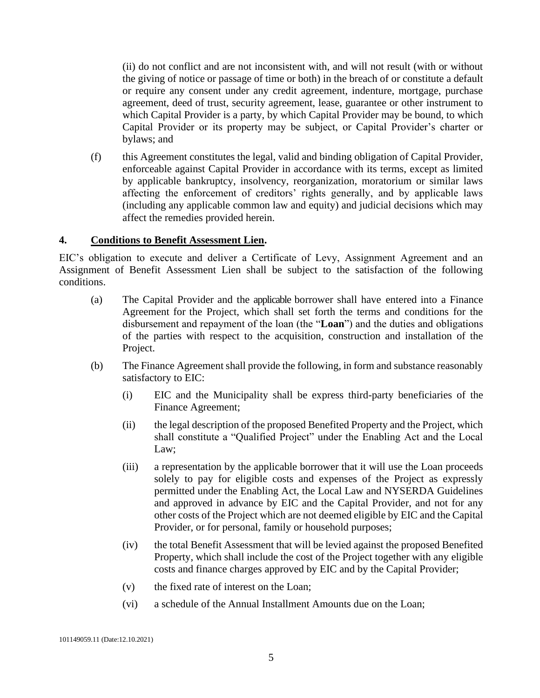(ii) do not conflict and are not inconsistent with, and will not result (with or without the giving of notice or passage of time or both) in the breach of or constitute a default or require any consent under any credit agreement, indenture, mortgage, purchase agreement, deed of trust, security agreement, lease, guarantee or other instrument to which Capital Provider is a party, by which Capital Provider may be bound, to which Capital Provider or its property may be subject, or Capital Provider's charter or bylaws; and

(f) this Agreement constitutes the legal, valid and binding obligation of Capital Provider, enforceable against Capital Provider in accordance with its terms, except as limited by applicable bankruptcy, insolvency, reorganization, moratorium or similar laws affecting the enforcement of creditors' rights generally, and by applicable laws (including any applicable common law and equity) and judicial decisions which may affect the remedies provided herein.

### <span id="page-5-0"></span>**4. Conditions to Benefit Assessment Lien.**

EIC's obligation to execute and deliver a Certificate of Levy, Assignment Agreement and an Assignment of Benefit Assessment Lien shall be subject to the satisfaction of the following conditions.

- (a) The Capital Provider and the applicable borrower shall have entered into a Finance Agreement for the Project, which shall set forth the terms and conditions for the disbursement and repayment of the loan (the "**Loan**") and the duties and obligations of the parties with respect to the acquisition, construction and installation of the Project.
- (b) The Finance Agreement shall provide the following, in form and substance reasonably satisfactory to EIC:
	- (i) EIC and the Municipality shall be express third-party beneficiaries of the Finance Agreement;
	- (ii) the legal description of the proposed Benefited Property and the Project, which shall constitute a "Qualified Project" under the Enabling Act and the Local Law;
	- (iii) a representation by the applicable borrower that it will use the Loan proceeds solely to pay for eligible costs and expenses of the Project as expressly permitted under the Enabling Act, the Local Law and NYSERDA Guidelines and approved in advance by EIC and the Capital Provider, and not for any other costs of the Project which are not deemed eligible by EIC and the Capital Provider, or for personal, family or household purposes;
	- (iv) the total Benefit Assessment that will be levied against the proposed Benefited Property, which shall include the cost of the Project together with any eligible costs and finance charges approved by EIC and by the Capital Provider;
	- (v) the fixed rate of interest on the Loan;
	- (vi) a schedule of the Annual Installment Amounts due on the Loan;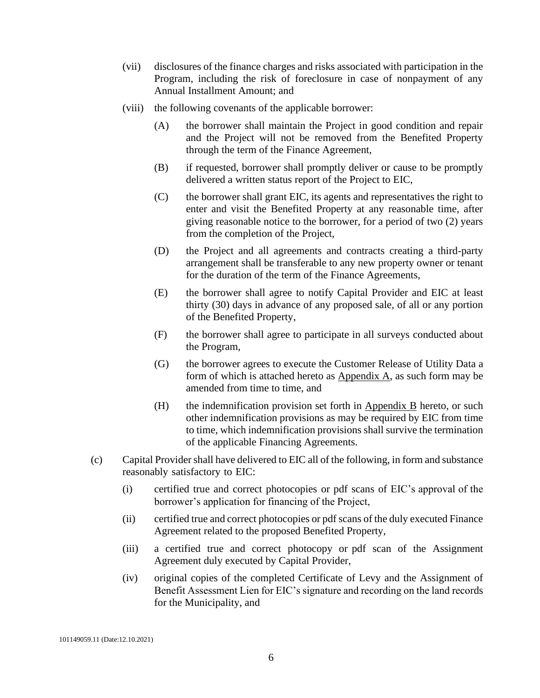- (vii) disclosures of the finance charges and risks associated with participation in the Program, including the risk of foreclosure in case of nonpayment of any Annual Installment Amount; and
- (viii) the following covenants of the applicable borrower:
	- (A) the borrower shall maintain the Project in good condition and repair and the Project will not be removed from the Benefited Property through the term of the Finance Agreement,
	- (B) if requested, borrower shall promptly deliver or cause to be promptly delivered a written status report of the Project to EIC,
	- (C) the borrower shall grant EIC, its agents and representatives the right to enter and visit the Benefited Property at any reasonable time, after giving reasonable notice to the borrower, for a period of two (2) years from the completion of the Project,
	- (D) the Project and all agreements and contracts creating a third-party arrangement shall be transferable to any new property owner or tenant for the duration of the term of the Finance Agreements,
	- (E) the borrower shall agree to notify Capital Provider and EIC at least thirty (30) days in advance of any proposed sale, of all or any portion of the Benefited Property,
	- (F) the borrower shall agree to participate in all surveys conducted about the Program,
	- (G) the borrower agrees to execute the Customer Release of Utility Data a form of which is attached hereto as Appendix A, as such form may be amended from time to time, and
	- (H) the indemnification provision set forth in Appendix B hereto, or such other indemnification provisions as may be required by EIC from time to time, which indemnification provisions shall survive the termination of the applicable Financing Agreements.
- (c) Capital Providershall have delivered to EIC all of the following, in form and substance reasonably satisfactory to EIC:
	- (i) certified true and correct photocopies or pdf scans of EIC's approval of the borrower's application for financing of the Project,
	- (ii) certified true and correct photocopies or pdf scans of the duly executed Finance Agreement related to the proposed Benefited Property,
	- (iii) a certified true and correct photocopy or pdf scan of the Assignment Agreement duly executed by Capital Provider,
	- (iv) original copies of the completed Certificate of Levy and the Assignment of Benefit Assessment Lien for EIC's signature and recording on the land records for the Municipality, and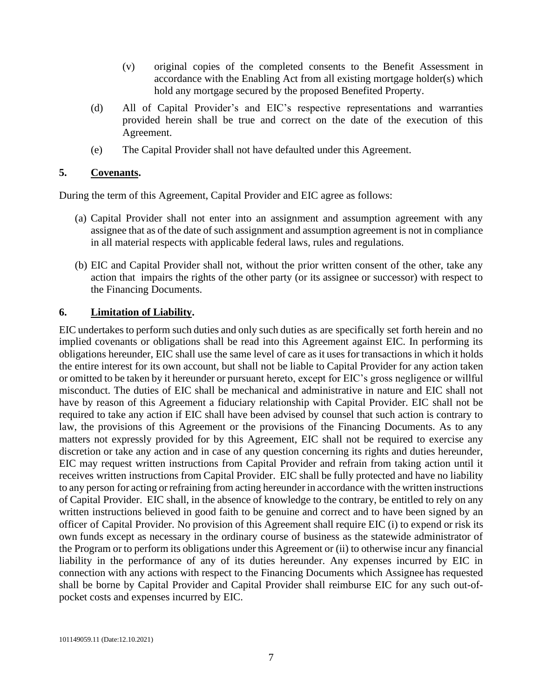- (v) original copies of the completed consents to the Benefit Assessment in accordance with the Enabling Act from all existing mortgage holder(s) which hold any mortgage secured by the proposed Benefited Property.
- (d) All of Capital Provider's and EIC's respective representations and warranties provided herein shall be true and correct on the date of the execution of this Agreement.
- (e) The Capital Provider shall not have defaulted under this Agreement.

### <span id="page-7-0"></span>**5. Covenants.**

During the term of this Agreement, Capital Provider and EIC agree as follows:

- (a) Capital Provider shall not enter into an assignment and assumption agreement with any assignee that as of the date of such assignment and assumption agreement is not in compliance in all material respects with applicable federal laws, rules and regulations.
- (b) EIC and Capital Provider shall not, without the prior written consent of the other, take any action that impairs the rights of the other party (or its assignee or successor) with respect to the Financing Documents.

## <span id="page-7-1"></span>**6. Limitation of Liability.**

EIC undertakes to perform such duties and only such duties as are specifically set forth herein and no implied covenants or obligations shall be read into this Agreement against EIC. In performing its obligations hereunder, EIC shall use the same level of care as it uses for transactions in which it holds the entire interest for its own account, but shall not be liable to Capital Provider for any action taken or omitted to be taken by it hereunder or pursuant hereto, except for EIC's gross negligence or willful misconduct. The duties of EIC shall be mechanical and administrative in nature and EIC shall not have by reason of this Agreement a fiduciary relationship with Capital Provider. EIC shall not be required to take any action if EIC shall have been advised by counsel that such action is contrary to law, the provisions of this Agreement or the provisions of the Financing Documents. As to any matters not expressly provided for by this Agreement, EIC shall not be required to exercise any discretion or take any action and in case of any question concerning its rights and duties hereunder, EIC may request written instructions from Capital Provider and refrain from taking action until it receives written instructions from Capital Provider. EIC shall be fully protected and have no liability to any person for acting or refraining from acting hereunder in accordance with the written instructions of Capital Provider. EIC shall, in the absence of knowledge to the contrary, be entitled to rely on any written instructions believed in good faith to be genuine and correct and to have been signed by an officer of Capital Provider. No provision of this Agreement shall require EIC (i) to expend or risk its own funds except as necessary in the ordinary course of business as the statewide administrator of the Program or to perform its obligations under this Agreement or (ii) to otherwise incur any financial liability in the performance of any of its duties hereunder. Any expenses incurred by EIC in connection with any actions with respect to the Financing Documents which Assignee has requested shall be borne by Capital Provider and Capital Provider shall reimburse EIC for any such out-ofpocket costs and expenses incurred by EIC.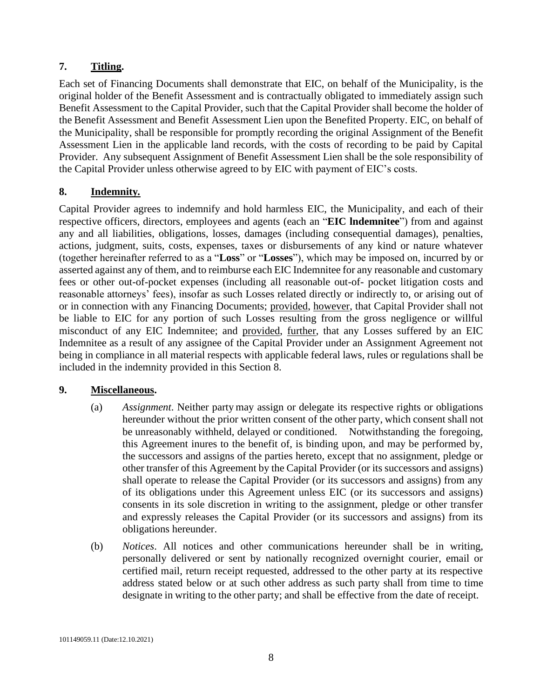# <span id="page-8-0"></span>**7. Titling.**

Each set of Financing Documents shall demonstrate that EIC, on behalf of the Municipality, is the original holder of the Benefit Assessment and is contractually obligated to immediately assign such Benefit Assessment to the Capital Provider, such that the Capital Provider shall become the holder of the Benefit Assessment and Benefit Assessment Lien upon the Benefited Property. EIC, on behalf of the Municipality, shall be responsible for promptly recording the original Assignment of the Benefit Assessment Lien in the applicable land records, with the costs of recording to be paid by Capital Provider. Any subsequent Assignment of Benefit Assessment Lien shall be the sole responsibility of the Capital Provider unless otherwise agreed to by EIC with payment of EIC's costs.

# <span id="page-8-1"></span>**8. Indemnity***.*

Capital Provider agrees to indemnify and hold harmless EIC, the Municipality, and each of their respective officers, directors, employees and agents (each an "**EIC lndemnitee**") from and against any and all liabilities, obligations, losses, damages (including consequential damages), penalties, actions, judgment, suits, costs, expenses, taxes or disbursements of any kind or nature whatever (together hereinafter referred to as a "**Loss**" or "**Losses**"), which may be imposed on, incurred by or asserted against any of them, and to reimburse each EIC Indemnitee for any reasonable and customary fees or other out-of-pocket expenses (including all reasonable out-of- pocket litigation costs and reasonable attorneys' fees), insofar as such Losses related directly or indirectly to, or arising out of or in connection with any Financing Documents; provided, however, that Capital Provider shall not be liable to EIC for any portion of such Losses resulting from the gross negligence or willful misconduct of any EIC Indemnitee; and provided, further, that any Losses suffered by an EIC Indemnitee as a result of any assignee of the Capital Provider under an Assignment Agreement not being in compliance in all material respects with applicable federal laws, rules or regulations shall be included in the indemnity provided in this Section [8.](#page-8-1)

# <span id="page-8-2"></span>**9. Miscellaneous.**

- (a) *Assignment*. Neither party may assign or delegate its respective rights or obligations hereunder without the prior written consent of the other party, which consent shall not be unreasonably withheld, delayed or conditioned. Notwithstanding the foregoing, this Agreement inures to the benefit of, is binding upon, and may be performed by, the successors and assigns of the parties hereto, except that no assignment, pledge or other transfer of this Agreement by the Capital Provider (or its successors and assigns) shall operate to release the Capital Provider (or its successors and assigns) from any of its obligations under this Agreement unless EIC (or its successors and assigns) consents in its sole discretion in writing to the assignment, pledge or other transfer and expressly releases the Capital Provider (or its successors and assigns) from its obligations hereunder.
- (b) *Notices*. All notices and other communications hereunder shall be in writing, personally delivered or sent by nationally recognized overnight courier, email or certified mail, return receipt requested, addressed to the other party at its respective address stated below or at such other address as such party shall from time to time designate in writing to the other party; and shall be effective from the date of receipt.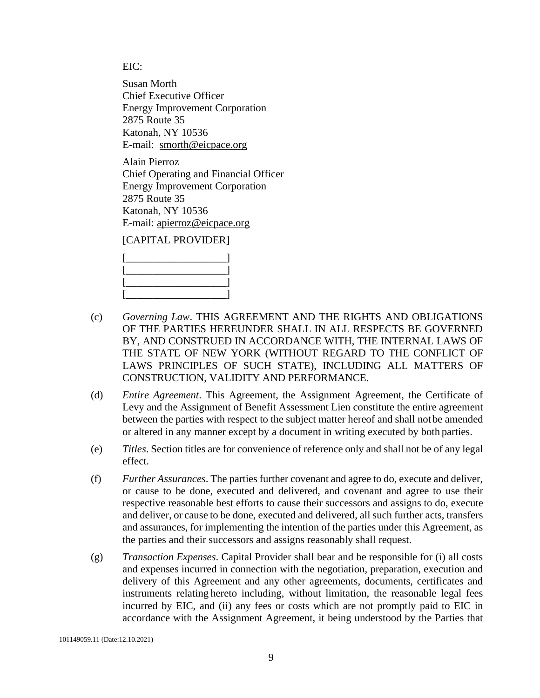EIC:

Susan Morth Chief Executive Officer Energy Improvement Corporation 2875 Route 35 Katonah, NY 10536 E-mail: [smorth@eicpace.org](mailto:smorth@eicpace.org)

Alain Pierroz Chief Operating and Financial Officer Energy Improvement Corporation 2875 Route 35 Katonah, NY 10536 E-mail: [apierroz@eicpace.org](mailto:apierroz@eicpace.org)

### [CAPITAL PROVIDER]

- (c) *Governing Law*. THIS AGREEMENT AND THE RIGHTS AND OBLIGATIONS OF THE PARTIES HEREUNDER SHALL IN ALL RESPECTS BE GOVERNED BY, AND CONSTRUED IN ACCORDANCE WITH, THE INTERNAL LAWS OF THE STATE OF NEW YORK (WITHOUT REGARD TO THE CONFLICT OF LAWS PRINCIPLES OF SUCH STATE), INCLUDING ALL MATTERS OF CONSTRUCTION, VALIDITY AND PERFORMANCE.
- (d) *Entire Agreement*. This Agreement, the Assignment Agreement, the Certificate of Levy and the Assignment of Benefit Assessment Lien constitute the entire agreement between the parties with respect to the subject matter hereof and shall not be amended or altered in any manner except by a document in writing executed by both parties.
- (e) *Titles*. Section titles are for convenience of reference only and shall not be of any legal effect.
- (f) *Further Assurances*. The parties further covenant and agree to do, execute and deliver, or cause to be done, executed and delivered, and covenant and agree to use their respective reasonable best efforts to cause their successors and assigns to do, execute and deliver, or cause to be done, executed and delivered, all such further acts, transfers and assurances, for implementing the intention of the parties under this Agreement, as the parties and their successors and assigns reasonably shall request.
- (g) *Transaction Expenses*. Capital Provider shall bear and be responsible for (i) all costs and expenses incurred in connection with the negotiation, preparation, execution and delivery of this Agreement and any other agreements, documents, certificates and instruments relating hereto including, without limitation, the reasonable legal fees incurred by EIC, and (ii) any fees or costs which are not promptly paid to EIC in accordance with the Assignment Agreement, it being understood by the Parties that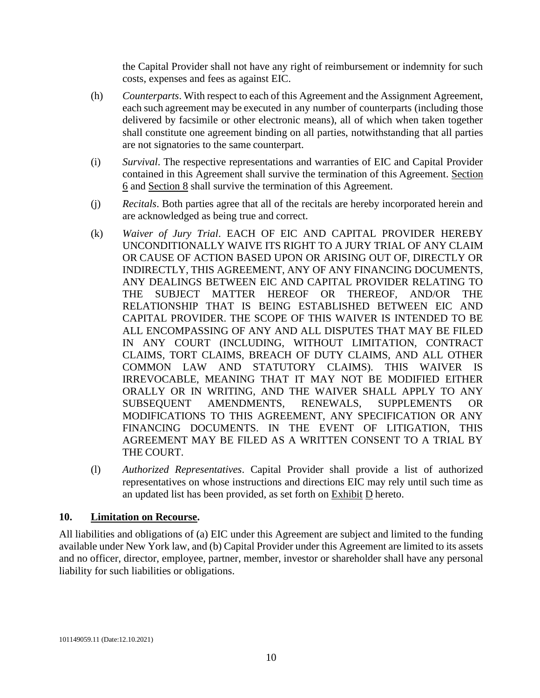the Capital Provider shall not have any right of reimbursement or indemnity for such costs, expenses and fees as against EIC.

- (h) *Counterparts*. With respect to each of this Agreement and the Assignment Agreement, each such agreement may be executed in any number of counterparts (including those delivered by facsimile or other electronic means), all of which when taken together shall constitute one agreement binding on all parties, notwithstanding that all parties are not signatories to the same counterpart.
- (i) *Survival*. The respective representations and warranties of EIC and Capital Provider contained in this Agreement shall survive the termination of this Agreement. Section 6 and Section 8 shall survive the termination of this Agreement.
- (j) *Recitals*. Both parties agree that all of the recitals are hereby incorporated herein and are acknowledged as being true and correct.
- (k) *Waiver of Jury Trial*. EACH OF EIC AND CAPITAL PROVIDER HEREBY UNCONDITIONALLY WAIVE ITS RIGHT TO A JURY TRIAL OF ANY CLAIM OR CAUSE OF ACTION BASED UPON OR ARISING OUT OF, DIRECTLY OR INDIRECTLY, THIS AGREEMENT, ANY OF ANY FINANCING DOCUMENTS, ANY DEALINGS BETWEEN EIC AND CAPITAL PROVIDER RELATING TO THE SUBJECT MATTER HEREOF OR THEREOF, AND/OR THE RELATIONSHIP THAT IS BEING ESTABLISHED BETWEEN EIC AND CAPITAL PROVIDER. THE SCOPE OF THIS WAIVER IS INTENDED TO BE ALL ENCOMPASSING OF ANY AND ALL DISPUTES THAT MAY BE FILED IN ANY COURT (INCLUDING, WITHOUT LIMITATION, CONTRACT CLAIMS, TORT CLAIMS, BREACH OF DUTY CLAIMS, AND ALL OTHER COMMON LAW AND STATUTORY CLAIMS). THIS WAIVER IS IRREVOCABLE, MEANING THAT IT MAY NOT BE MODIFIED EITHER ORALLY OR IN WRITING, AND THE WAIVER SHALL APPLY TO ANY SUBSEQUENT AMENDMENTS, RENEWALS, SUPPLEMENTS OR MODIFICATIONS TO THIS AGREEMENT, ANY SPECIFICATION OR ANY FINANCING DOCUMENTS. IN THE EVENT OF LITIGATION, THIS AGREEMENT MAY BE FILED AS A WRITTEN CONSENT TO A TRIAL BY THE COURT.
- (l) *Authorized Representatives*. Capital Provider shall provide a list of authorized representatives on whose instructions and directions EIC may rely until such time as an updated list has been provided, as set forth on  $\overline{\text{Exhibit D}}$  hereto.

### <span id="page-10-0"></span>**10. Limitation on Recourse.**

All liabilities and obligations of (a) EIC under this Agreement are subject and limited to the funding available under New York law, and (b) Capital Provider under this Agreement are limited to its assets and no officer, director, employee, partner, member, investor or shareholder shall have any personal liability for such liabilities or obligations.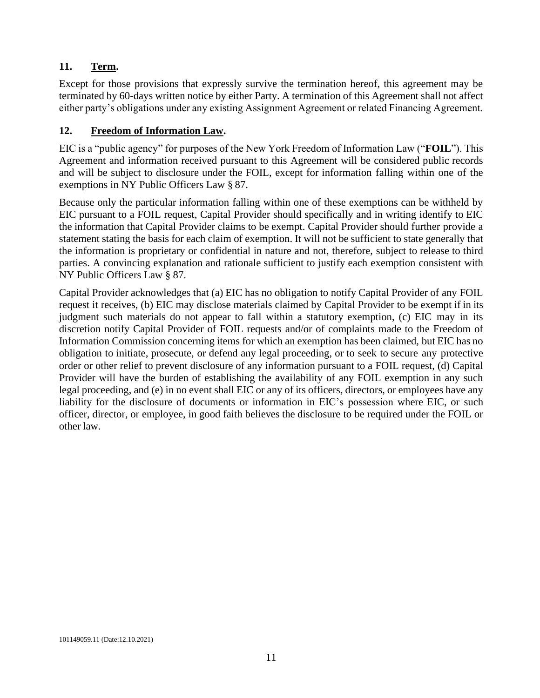# <span id="page-11-0"></span>**11. Term.**

Except for those provisions that expressly survive the termination hereof, this agreement may be terminated by 60-days written notice by either Party. A termination of this Agreement shall not affect either party's obligations under any existing Assignment Agreement or related Financing Agreement.

# <span id="page-11-1"></span>**12. Freedom of Information Law.**

EIC is a "public agency" for purposes of the New York Freedom of Information Law ("**FOIL**"). This Agreement and information received pursuant to this Agreement will be considered public records and will be subject to disclosure under the FOIL, except for information falling within one of the exemptions in NY Public Officers Law § 87.

Because only the particular information falling within one of these exemptions can be withheld by EIC pursuant to a FOIL request, Capital Provider should specifically and in writing identify to EIC the information that Capital Provider claims to be exempt. Capital Provider should further provide a statement stating the basis for each claim of exemption. It will not be sufficient to state generally that the information is proprietary or confidential in nature and not, therefore, subject to release to third parties. A convincing explanation and rationale sufficient to justify each exemption consistent with NY Public Officers Law § 87.

Capital Provider acknowledges that (a) EIC has no obligation to notify Capital Provider of any FOIL request it receives, (b) EIC may disclose materials claimed by Capital Provider to be exempt if in its judgment such materials do not appear to fall within a statutory exemption, (c) EIC may in its discretion notify Capital Provider of FOIL requests and/or of complaints made to the Freedom of Information Commission concerning items for which an exemption has been claimed, but EIC has no obligation to initiate, prosecute, or defend any legal proceeding, or to seek to secure any protective order or other relief to prevent disclosure of any information pursuant to a FOIL request, (d) Capital Provider will have the burden of establishing the availability of any FOIL exemption in any such legal proceeding, and (e) in no event shall EIC or any of its officers, directors, or employees have any liability for the disclosure of documents or information in EIC's possession where EIC, or such officer, director, or employee, in good faith believes the disclosure to be required under the FOIL or other law.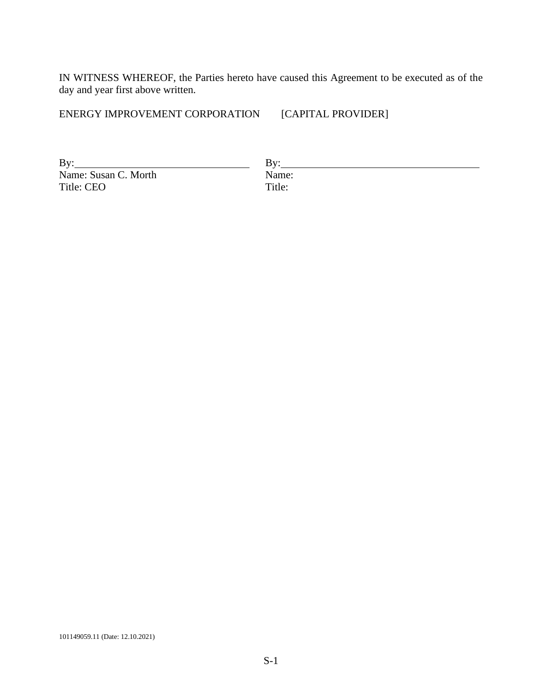IN WITNESS WHEREOF, the Parties hereto have caused this Agreement to be executed as of the day and year first above written.

ENERGY IMPROVEMENT CORPORATION [CAPITAL PROVIDER]

By: By: Name: Susan C. Morth Name<br>Title: CEO Title: Title: CEO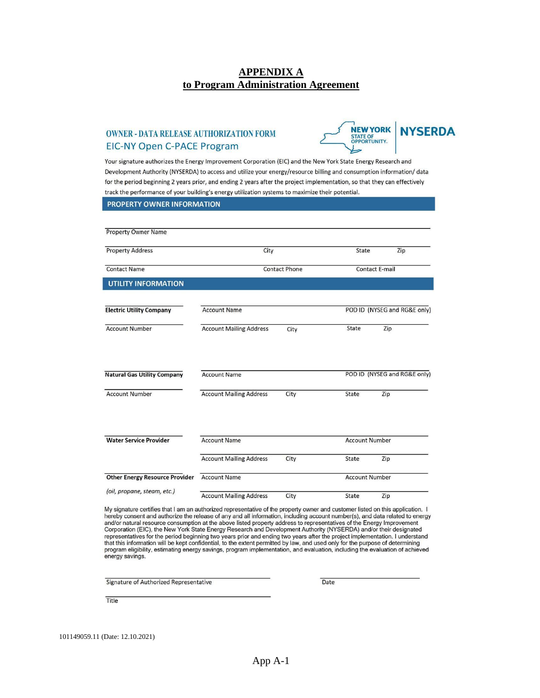### **APPENDIX A to Program Administration Agreement**

#### **OWNER - DATA RELEASE AUTHORIZATION FORM EIC-NY Open C-PACE Program**



Your signature authorizes the Energy Improvement Corporation (EIC) and the New York State Energy Research and Development Authority (NYSERDA) to access and utilize your energy/resource billing and consumption information/data for the period beginning 2 years prior, and ending 2 years after the project implementation, so that they can effectively track the performance of your building's energy utilization systems to maximize their potential.

| <b>PROPERTY OWNER INFORMATION</b>     |                                |      |                       |                              |  |  |  |
|---------------------------------------|--------------------------------|------|-----------------------|------------------------------|--|--|--|
|                                       |                                |      |                       |                              |  |  |  |
| <b>Property Owner Name</b>            |                                |      |                       |                              |  |  |  |
| <b>Property Address</b>               | City                           |      | State                 | Zip                          |  |  |  |
| <b>Contact Name</b>                   | <b>Contact Phone</b>           |      | <b>Contact E-mail</b> |                              |  |  |  |
| <b>UTILITY INFORMATION</b>            |                                |      |                       |                              |  |  |  |
| <b>Electric Utility Company</b>       | <b>Account Name</b>            |      |                       | POD ID (NYSEG and RG&E only) |  |  |  |
|                                       |                                |      |                       |                              |  |  |  |
| <b>Account Number</b>                 | <b>Account Mailing Address</b> | City | State                 | Zip                          |  |  |  |
|                                       |                                |      |                       |                              |  |  |  |
| <b>Natural Gas Utility Company</b>    | <b>Account Name</b>            |      |                       | POD ID (NYSEG and RG&E only) |  |  |  |
|                                       |                                |      |                       |                              |  |  |  |
| <b>Account Number</b>                 | <b>Account Mailing Address</b> | City | State                 | Zip                          |  |  |  |
|                                       |                                |      |                       |                              |  |  |  |
| <b>Water Service Provider</b>         | <b>Account Name</b>            |      | <b>Account Number</b> |                              |  |  |  |
|                                       |                                |      |                       |                              |  |  |  |
|                                       | <b>Account Mailing Address</b> | City | State                 | Zip                          |  |  |  |
| <b>Other Energy Resource Provider</b> | <b>Account Name</b>            |      | <b>Account Number</b> |                              |  |  |  |
| (oil, propane, steam, etc.)           | <b>Account Mailing Address</b> | City | State                 | Zip                          |  |  |  |

My signature certifies that I am an authorized representative of the property owner and customer listed on this application. I hereby consent and authorize the release of any and all information, including account number(s), and data related to energy and/or natural resource consumption at the above listed property address to representatives of the Energy Improvement<br>Corporation (EIC), the New York State Energy Research and Development Authority (NYSERDA) and/or their d Constant in the term of the period beginning two years prior and ending two years after the project implementation. I understand<br>that this information will be kept confidential, to the extent permitted by law, and used onl program eligibility, estimating energy savings, program implementation, and evaluation, including the evaluation of achieved energy savings.

**Signature of Authorized Representative** 

Date

Title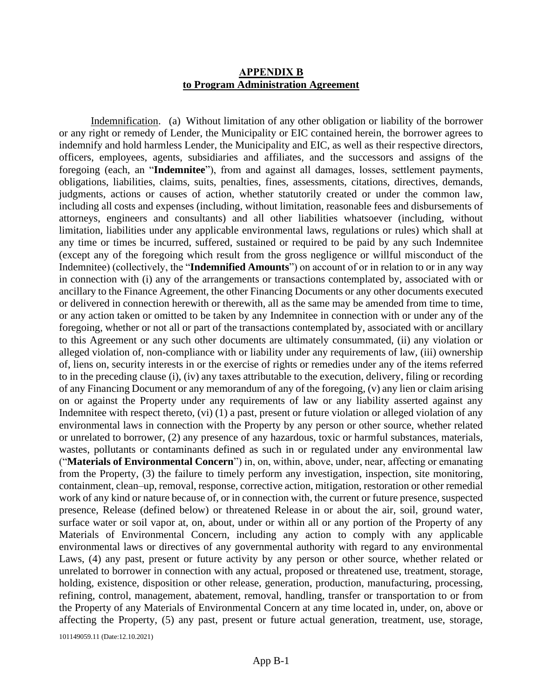### **APPENDIX B to Program Administration Agreement**

Indemnification. (a) Without limitation of any other obligation or liability of the borrower or any right or remedy of Lender, the Municipality or EIC contained herein, the borrower agrees to indemnify and hold harmless Lender, the Municipality and EIC, as well as their respective directors, officers, employees, agents, subsidiaries and affiliates, and the successors and assigns of the foregoing (each, an "**Indemnitee**"), from and against all damages, losses, settlement payments, obligations, liabilities, claims, suits, penalties, fines, assessments, citations, directives, demands, judgments, actions or causes of action, whether statutorily created or under the common law, including all costs and expenses (including, without limitation, reasonable fees and disbursements of attorneys, engineers and consultants) and all other liabilities whatsoever (including, without limitation, liabilities under any applicable environmental laws, regulations or rules) which shall at any time or times be incurred, suffered, sustained or required to be paid by any such Indemnitee (except any of the foregoing which result from the gross negligence or willful misconduct of the Indemnitee) (collectively, the "**Indemnified Amounts**") on account of or in relation to or in any way in connection with (i) any of the arrangements or transactions contemplated by, associated with or ancillary to the Finance Agreement, the other Financing Documents or any other documents executed or delivered in connection herewith or therewith, all as the same may be amended from time to time, or any action taken or omitted to be taken by any Indemnitee in connection with or under any of the foregoing, whether or not all or part of the transactions contemplated by, associated with or ancillary to this Agreement or any such other documents are ultimately consummated, (ii) any violation or alleged violation of, non-compliance with or liability under any requirements of law, (iii) ownership of, liens on, security interests in or the exercise of rights or remedies under any of the items referred to in the preceding clause (i), (iv) any taxes attributable to the execution, delivery, filing or recording of any Financing Document or any memorandum of any of the foregoing, (v) any lien or claim arising on or against the Property under any requirements of law or any liability asserted against any Indemnitee with respect thereto, (vi) (1) a past, present or future violation or alleged violation of any environmental laws in connection with the Property by any person or other source, whether related or unrelated to borrower, (2) any presence of any hazardous, toxic or harmful substances, materials, wastes, pollutants or contaminants defined as such in or regulated under any environmental law ("**Materials of Environmental Concern**") in, on, within, above, under, near, affecting or emanating from the Property, (3) the failure to timely perform any investigation, inspection, site monitoring, containment, clean–up, removal, response, corrective action, mitigation, restoration or other remedial work of any kind or nature because of, or in connection with, the current or future presence, suspected presence, Release (defined below) or threatened Release in or about the air, soil, ground water, surface water or soil vapor at, on, about, under or within all or any portion of the Property of any Materials of Environmental Concern, including any action to comply with any applicable environmental laws or directives of any governmental authority with regard to any environmental Laws, (4) any past, present or future activity by any person or other source, whether related or unrelated to borrower in connection with any actual, proposed or threatened use, treatment, storage, holding, existence, disposition or other release, generation, production, manufacturing, processing, refining, control, management, abatement, removal, handling, transfer or transportation to or from the Property of any Materials of Environmental Concern at any time located in, under, on, above or affecting the Property, (5) any past, present or future actual generation, treatment, use, storage,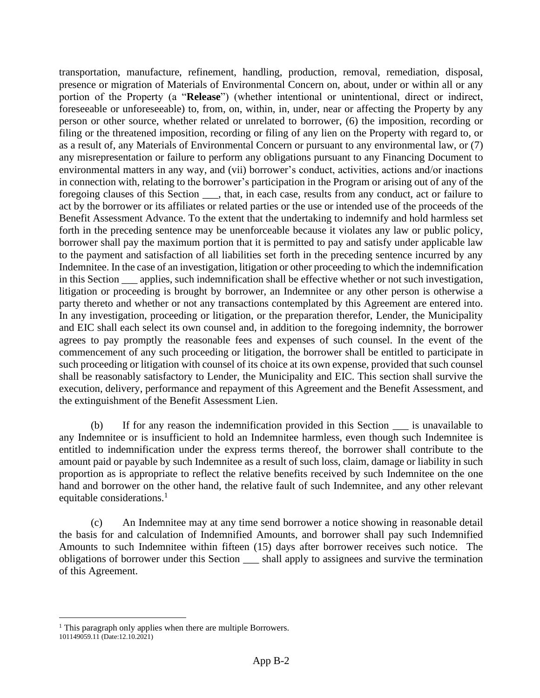transportation, manufacture, refinement, handling, production, removal, remediation, disposal, presence or migration of Materials of Environmental Concern on, about, under or within all or any portion of the Property (a "**Release**") (whether intentional or unintentional, direct or indirect, foreseeable or unforeseeable) to, from, on, within, in, under, near or affecting the Property by any person or other source, whether related or unrelated to borrower, (6) the imposition, recording or filing or the threatened imposition, recording or filing of any lien on the Property with regard to, or as a result of, any Materials of Environmental Concern or pursuant to any environmental law, or (7) any misrepresentation or failure to perform any obligations pursuant to any Financing Document to environmental matters in any way, and (vii) borrower's conduct, activities, actions and/or inactions in connection with, relating to the borrower's participation in the Program or arising out of any of the foregoing clauses of this Section \_\_\_, that, in each case, results from any conduct, act or failure to act by the borrower or its affiliates or related parties or the use or intended use of the proceeds of the Benefit Assessment Advance. To the extent that the undertaking to indemnify and hold harmless set forth in the preceding sentence may be unenforceable because it violates any law or public policy, borrower shall pay the maximum portion that it is permitted to pay and satisfy under applicable law to the payment and satisfaction of all liabilities set forth in the preceding sentence incurred by any Indemnitee. In the case of an investigation, litigation or other proceeding to which the indemnification in this Section \_\_\_ applies, such indemnification shall be effective whether or not such investigation, litigation or proceeding is brought by borrower, an Indemnitee or any other person is otherwise a party thereto and whether or not any transactions contemplated by this Agreement are entered into. In any investigation, proceeding or litigation, or the preparation therefor, Lender, the Municipality and EIC shall each select its own counsel and, in addition to the foregoing indemnity, the borrower agrees to pay promptly the reasonable fees and expenses of such counsel. In the event of the commencement of any such proceeding or litigation, the borrower shall be entitled to participate in such proceeding or litigation with counsel of its choice at its own expense, provided that such counsel shall be reasonably satisfactory to Lender, the Municipality and EIC. This section shall survive the execution, delivery, performance and repayment of this Agreement and the Benefit Assessment, and the extinguishment of the Benefit Assessment Lien.

(b) If for any reason the indemnification provided in this Section \_\_\_ is unavailable to any Indemnitee or is insufficient to hold an Indemnitee harmless, even though such Indemnitee is entitled to indemnification under the express terms thereof, the borrower shall contribute to the amount paid or payable by such Indemnitee as a result of such loss, claim, damage or liability in such proportion as is appropriate to reflect the relative benefits received by such Indemnitee on the one hand and borrower on the other hand, the relative fault of such Indemnitee, and any other relevant equitable considerations.<sup>1</sup>

(c) An Indemnitee may at any time send borrower a notice showing in reasonable detail the basis for and calculation of Indemnified Amounts, and borrower shall pay such Indemnified Amounts to such Indemnitee within fifteen (15) days after borrower receives such notice. The obligations of borrower under this Section \_\_\_ shall apply to assignees and survive the termination of this Agreement.

 $<sup>1</sup>$  This paragraph only applies when there are multiple Borrowers.</sup>

<sup>101149059.11</sup> (Date:12.10.2021)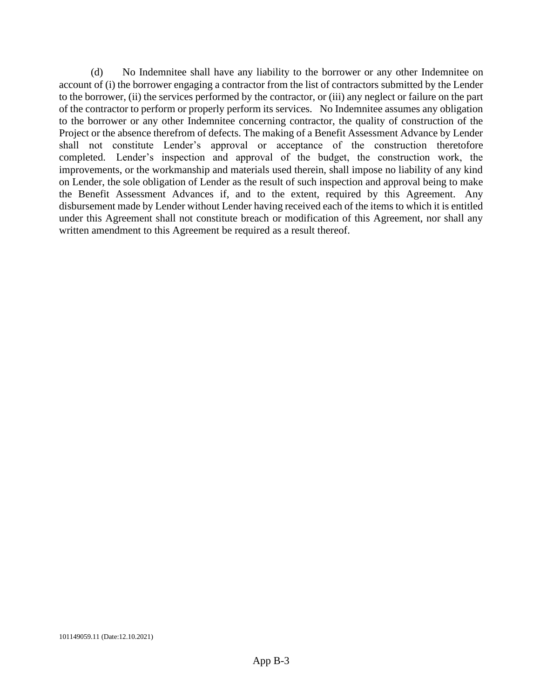(d) No Indemnitee shall have any liability to the borrower or any other Indemnitee on account of (i) the borrower engaging a contractor from the list of contractors submitted by the Lender to the borrower, (ii) the services performed by the contractor, or (iii) any neglect or failure on the part of the contractor to perform or properly perform its services. No Indemnitee assumes any obligation to the borrower or any other Indemnitee concerning contractor, the quality of construction of the Project or the absence therefrom of defects. The making of a Benefit Assessment Advance by Lender shall not constitute Lender's approval or acceptance of the construction theretofore completed. Lender's inspection and approval of the budget, the construction work, the improvements, or the workmanship and materials used therein, shall impose no liability of any kind on Lender, the sole obligation of Lender as the result of such inspection and approval being to make the Benefit Assessment Advances if, and to the extent, required by this Agreement. Any disbursement made by Lender without Lender having received each of the items to which it is entitled under this Agreement shall not constitute breach or modification of this Agreement, nor shall any written amendment to this Agreement be required as a result thereof.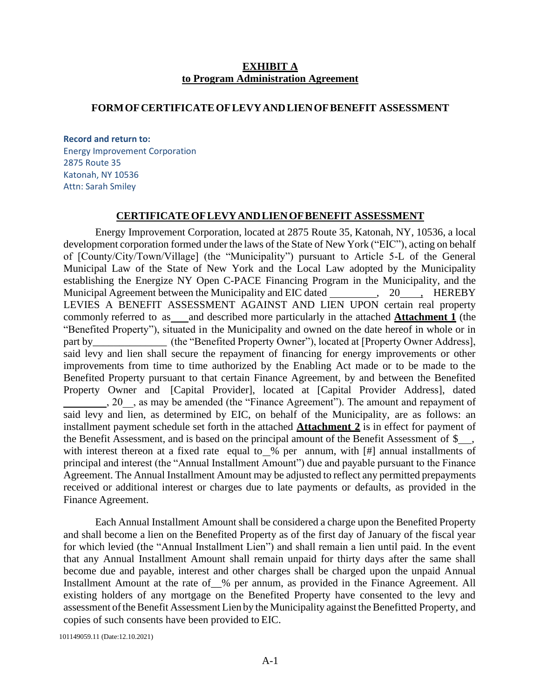#### **EXHIBIT A to Program Administration Agreement**

#### **FORMOFCERTIFICATEOFLEVYANDLIENOFBENEFIT ASSESSMENT**

#### **Record and return to:**

Energy Improvement Corporation 2875 Route 35 Katonah, NY 10536 Attn: Sarah Smiley

### **CERTIFICATEOFLEVYANDLIENOFBENEFIT ASSESSMENT**

Energy Improvement Corporation, located at 2875 Route 35, Katonah, NY, 10536, a local development corporation formed under the laws of the State of New York ("EIC"), acting on behalf of [County/City/Town/Village] (the "Municipality") pursuant to Article 5-L of the General Municipal Law of the State of New York and the Local Law adopted by the Municipality establishing the Energize NY Open C-PACE Financing Program in the Municipality, and the Municipal Agreement between the Municipality and EIC dated , 20 , HEREBY LEVIES A BENEFIT ASSESSMENT AGAINST AND LIEN UPON certain real property commonly referred to as and described more particularly in the attached **Attachment 1** (the "Benefited Property"), situated in the Municipality and owned on the date hereof in whole or in part by (the "Benefited Property Owner"), located at [Property Owner Address], said levy and lien shall secure the repayment of financing for energy improvements or other improvements from time to time authorized by the Enabling Act made or to be made to the Benefited Property pursuant to that certain Finance Agreement, by and between the Benefited Property Owner and [Capital Provider], located at [Capital Provider Address], dated 1, 20 , as may be amended (the "Finance Agreement"). The amount and repayment of said levy and lien, as determined by EIC, on behalf of the Municipality, are as follows: an installment payment schedule set forth in the attached **Attachment 2** is in effect for payment of the Benefit Assessment, and is based on the principal amount of the Benefit Assessment of  $\frac{1}{2}$ , with interest thereon at a fixed rate equal to % per annum, with [#] annual installments of principal and interest (the "Annual Installment Amount") due and payable pursuant to the Finance Agreement. The Annual Installment Amount may be adjusted to reflect any permitted prepayments received or additional interest or charges due to late payments or defaults, as provided in the Finance Agreement.

Each Annual Installment Amount shall be considered a charge upon the Benefited Property and shall become a lien on the Benefited Property as of the first day of January of the fiscal year for which levied (the "Annual Installment Lien") and shall remain a lien until paid. In the event that any Annual Installment Amount shall remain unpaid for thirty days after the same shall become due and payable, interest and other charges shall be charged upon the unpaid Annual Installment Amount at the rate of % per annum, as provided in the Finance Agreement. All existing holders of any mortgage on the Benefited Property have consented to the levy and assessment of the Benefit Assessment Lien by the Municipality against the Benefitted Property, and copies of such consents have been provided to EIC.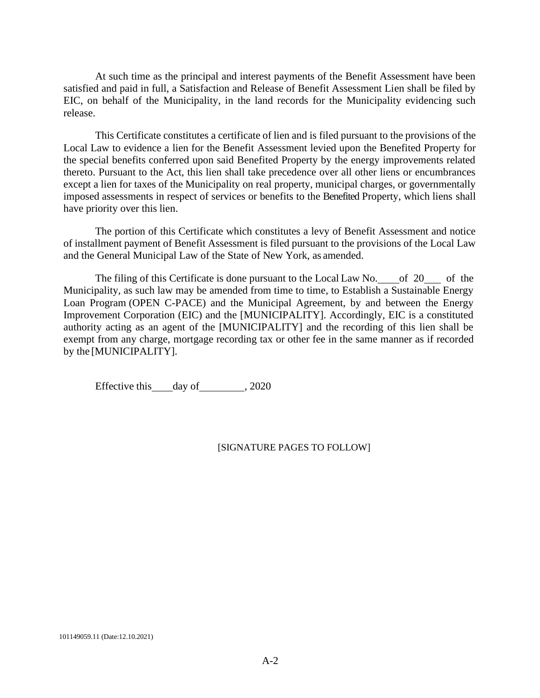At such time as the principal and interest payments of the Benefit Assessment have been satisfied and paid in full, a Satisfaction and Release of Benefit Assessment Lien shall be filed by EIC, on behalf of the Municipality, in the land records for the Municipality evidencing such release.

This Certificate constitutes a certificate of lien and is filed pursuant to the provisions of the Local Law to evidence a lien for the Benefit Assessment levied upon the Benefited Property for the special benefits conferred upon said Benefited Property by the energy improvements related thereto. Pursuant to the Act, this lien shall take precedence over all other liens or encumbrances except a lien for taxes of the Municipality on real property, municipal charges, or governmentally imposed assessments in respect of services or benefits to the Benefited Property, which liens shall have priority over this lien.

The portion of this Certificate which constitutes a levy of Benefit Assessment and notice of installment payment of Benefit Assessment is filed pursuant to the provisions of the Local Law and the General Municipal Law of the State of New York, as amended.

The filing of this Certificate is done pursuant to the Local Law No. of 20 of the Municipality, as such law may be amended from time to time, to Establish a Sustainable Energy Loan Program (OPEN C-PACE) and the Municipal Agreement, by and between the Energy Improvement Corporation (EIC) and the [MUNICIPALITY]. Accordingly, EIC is a constituted authority acting as an agent of the [MUNICIPALITY] and the recording of this lien shall be exempt from any charge, mortgage recording tax or other fee in the same manner as if recorded by the [MUNICIPALITY].

Effective this day of 3020

#### [SIGNATURE PAGES TO FOLLOW]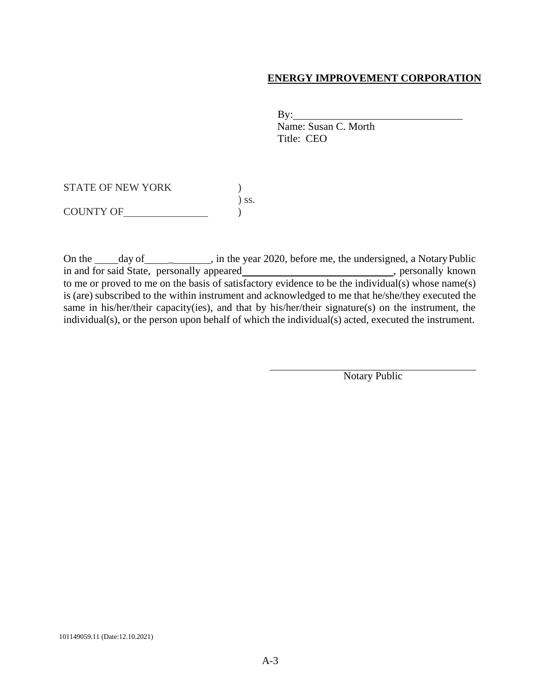### **ENERGY IMPROVEMENT CORPORATION**

By:

Name: Susan C. Morth Title: CEO

STATE OF NEW YORK  $)$ ) ss. COUNTY OF  $\qquad \qquad$  )

On the \_\_\_\_\_ day of \_\_\_\_\_\_\_\_\_\_\_, in the year 2020, before me, the undersigned, a Notary Public in and for said State, personally appeared<br>  $\Box$ , personally known to me or proved to me on the basis of satisfactory evidence to be the individual(s) whose name(s) is (are) subscribed to the within instrument and acknowledged to me that he/she/they executed the same in his/her/their capacity(ies), and that by his/her/their signature(s) on the instrument, the individual(s), or the person upon behalf of which the individual(s) acted, executed the instrument.

Notary Public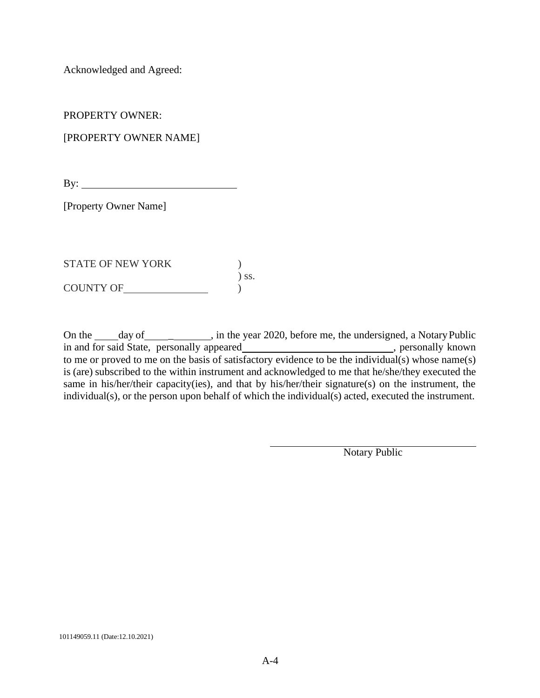Acknowledged and Agreed:

PROPERTY OWNER:

[PROPERTY OWNER NAME]

By:  $\qquad \qquad$ 

[Property Owner Name]

STATE OF NEW YORK  $\qquad \qquad$  ) ) ss. COUNTY OF  $\qquad \qquad \begin{array}{c}\n \downarrow \\
\downarrow \\
\downarrow \\
\downarrow\n \end{array}$ 

On the day of \_\_\_\_\_\_\_, in the year 2020, before me, the undersigned, a Notary Public in and for said State, personally appeared , personally known , personally known to me or proved to me on the basis of satisfactory evidence to be the individual(s) whose name(s) is (are) subscribed to the within instrument and acknowledged to me that he/she/they executed the same in his/her/their capacity(ies), and that by his/her/their signature(s) on the instrument, the individual(s), or the person upon behalf of which the individual(s) acted, executed the instrument.

Notary Public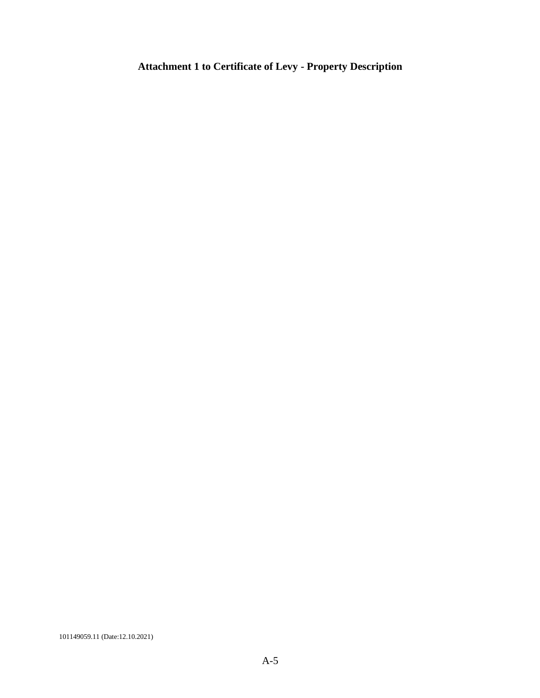# **Attachment 1 to Certificate of Levy - Property Description**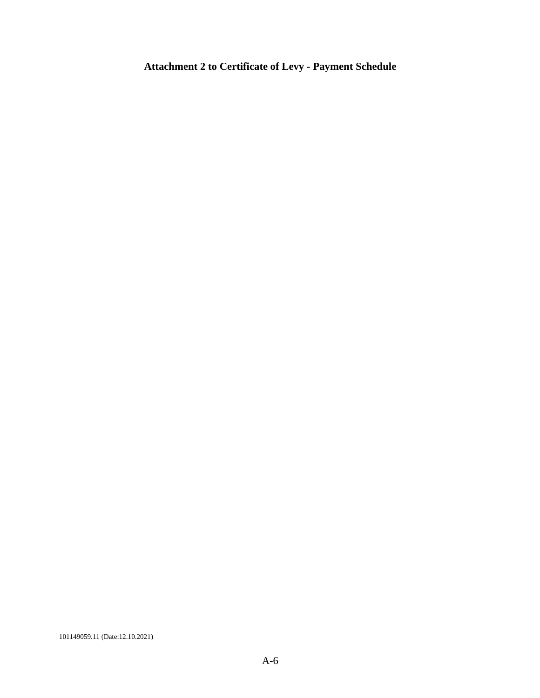# **Attachment 2 to Certificate of Levy - Payment Schedule**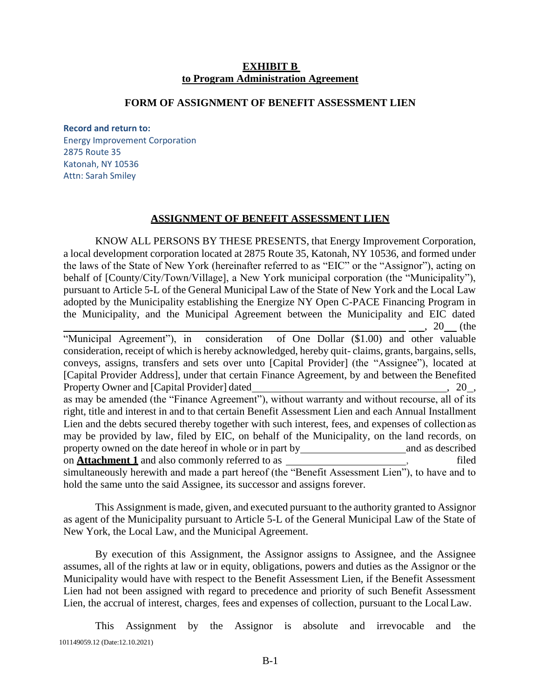#### **EXHIBIT B to Program Administration Agreement**

#### **FORM OF ASSIGNMENT OF BENEFIT ASSESSMENT LIEN**

**Record and return to:**

Energy Improvement Corporation 2875 Route 35 Katonah, NY 10536 Attn: Sarah Smiley

## **ASSIGNMENT OF BENEFIT ASSESSMENT LIEN**

KNOW ALL PERSONS BY THESE PRESENTS, that Energy Improvement Corporation, a local development corporation located at 2875 Route 35, Katonah, NY 10536, and formed under the laws of the State of New York (hereinafter referred to as "EIC" or the "Assignor"), acting on behalf of [County/City/Town/Village], a New York municipal corporation (the "Municipality"), pursuant to Article 5-L of the General Municipal Law of the State of New York and the Local Law adopted by the Municipality establishing the Energize NY Open C-PACE Financing Program in the Municipality, and the Municipal Agreement between the Municipality and EIC dated , 20 (the

"Municipal Agreement"), in consideration of One Dollar (\$1.00) and other valuable consideration, receipt of which is hereby acknowledged, hereby quit-claims, grants, bargains, sells, conveys, assigns, transfers and sets over unto [Capital Provider] (the "Assignee"), located at [Capital Provider Address], under that certain Finance Agreement, by and between the Benefited Property Owner and [Capital Provider] dated , 20, 420 , 420 , 420 , 420 , 420 , 420 , 420 , 420 , 420 , 420 , 420 , 420 , 420 , 420 , 420 , 420 , 420 , 420 , 420 , 420 , 420 , 420 , 420 , 420 , 420 , 420 , 420 , 420 , 420 as may be amended (the "Finance Agreement"), without warranty and without recourse, all of its right, title and interest in and to that certain Benefit Assessment Lien and each Annual Installment Lien and the debts secured thereby together with such interest, fees, and expenses of collection as may be provided by law, filed by EIC, on behalf of the Municipality, on the land records, on property owned on the date hereof in whole or in part by and as described on **Attachment 1** and also commonly referred to as \_\_\_\_\_\_\_\_\_\_\_\_\_\_\_\_\_\_\_\_\_\_, filed simultaneously herewith and made a part hereof (the "Benefit Assessment Lien"), to have and to hold the same unto the said Assignee, its successor and assigns forever.

This Assignment is made, given, and executed pursuant to the authority granted to Assignor as agent of the Municipality pursuant to Article 5-L of the General Municipal Law of the State of New York, the Local Law, and the Municipal Agreement.

By execution of this Assignment, the Assignor assigns to Assignee, and the Assignee assumes, all of the rights at law or in equity, obligations, powers and duties as the Assignor or the Municipality would have with respect to the Benefit Assessment Lien, if the Benefit Assessment Lien had not been assigned with regard to precedence and priority of such Benefit Assessment Lien, the accrual of interest, charges, fees and expenses of collection, pursuant to the LocalLaw.

101149059.12 (Date:12.10.2021) This Assignment by the Assignor is absolute and irrevocable and the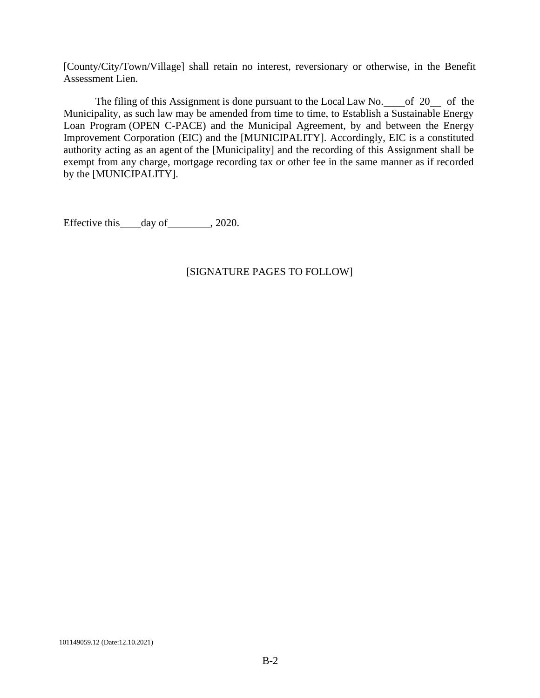[County/City/Town/Village] shall retain no interest, reversionary or otherwise, in the Benefit Assessment Lien.

The filing of this Assignment is done pursuant to the Local Law No. of 20 of the Municipality, as such law may be amended from time to time, to Establish a Sustainable Energy Loan Program (OPEN C-PACE) and the Municipal Agreement, by and between the Energy Improvement Corporation (EIC) and the [MUNICIPALITY]. Accordingly, EIC is a constituted authority acting as an agent of the [Municipality] and the recording of this Assignment shall be exempt from any charge, mortgage recording tax or other fee in the same manner as if recorded by the [MUNICIPALITY].

Effective this day of 3020.

## [SIGNATURE PAGES TO FOLLOW]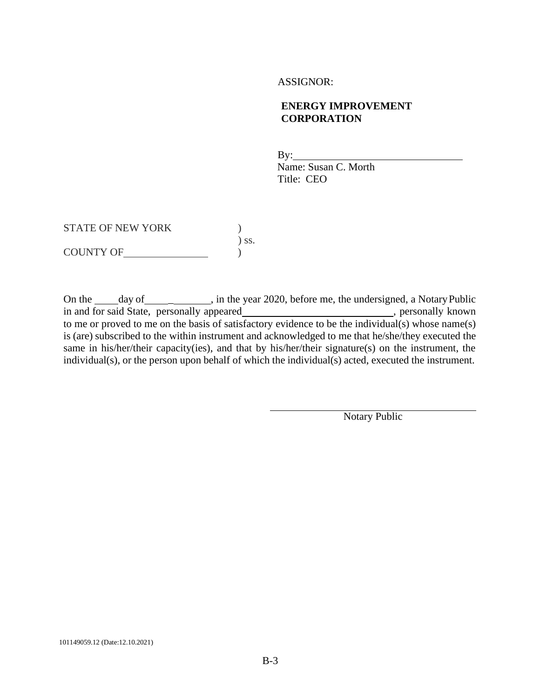#### ASSIGNOR:

### **ENERGY IMPROVEMENT CORPORATION**

 $By:$ Name: Susan C. Morth Title: CEO

STATE OF NEW YORK  $)$ ) ss. COUNTY OF )

On the <u>day of definition</u>, in the year 2020, before me, the undersigned, a Notary Public in and for said State, personally appeared\_\_\_\_\_\_\_\_\_\_\_\_\_\_\_\_\_\_\_\_\_\_\_\_\_\_\_\_, personally known to me or proved to me on the basis of satisfactory evidence to be the individual(s) whose name(s) is (are) subscribed to the within instrument and acknowledged to me that he/she/they executed the same in his/her/their capacity(ies), and that by his/her/their signature(s) on the instrument, the individual(s), or the person upon behalf of which the individual(s) acted, executed the instrument.

Notary Public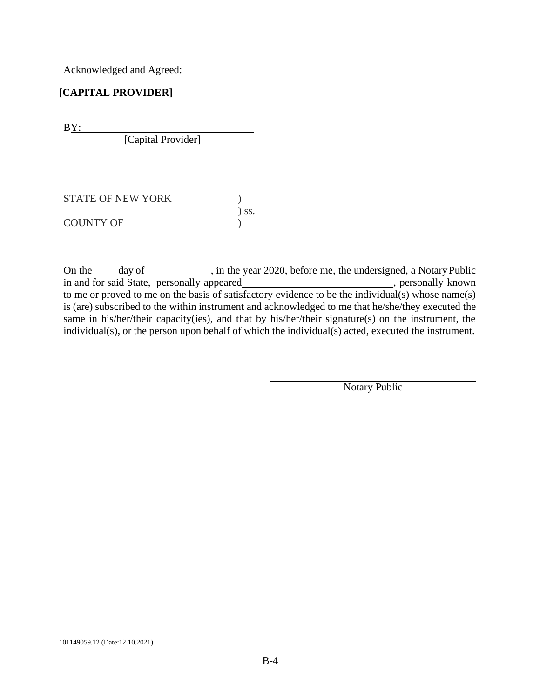Acknowledged and Agreed:

# **[CAPITAL PROVIDER]**

B<u>Y:</u>

[Capital Provider]

STATE OF NEW YORK  $)$ ) ss. COUNTY OF  $\qquad \qquad$  )

On the \_\_\_\_\_ day of \_\_\_\_\_\_\_\_\_\_\_, in the year 2020, before me, the undersigned, a Notary Public in and for said State, personally appeared\_\_\_\_\_\_\_\_\_\_\_\_\_\_\_\_\_\_\_\_\_\_\_\_\_\_\_\_, personally known to me or proved to me on the basis of satisfactory evidence to be the individual(s) whose name(s) is (are) subscribed to the within instrument and acknowledged to me that he/she/they executed the same in his/her/their capacity(ies), and that by his/her/their signature(s) on the instrument, the individual(s), or the person upon behalf of which the individual(s) acted, executed the instrument.

Notary Public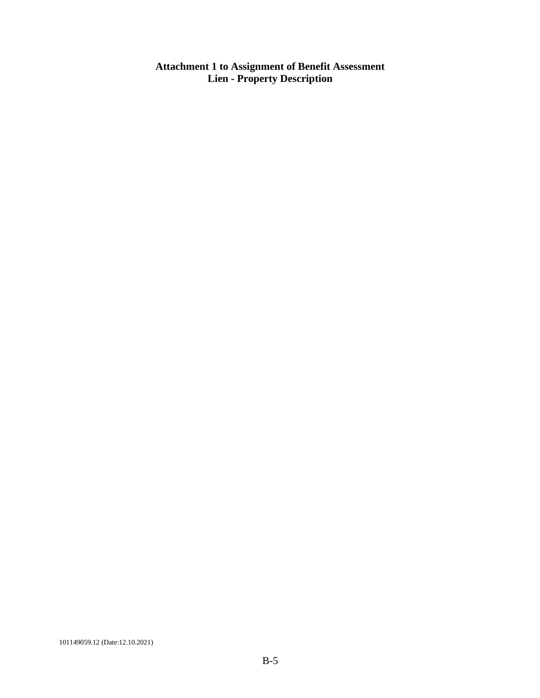**Attachment 1 to Assignment of Benefit Assessment Lien - Property Description**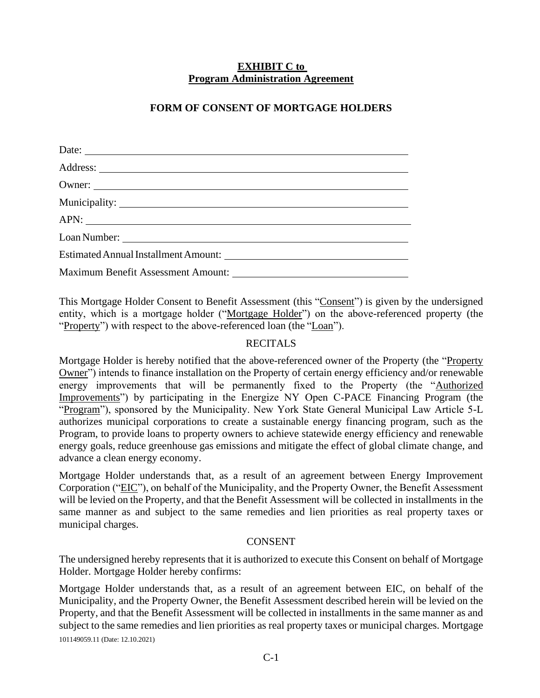# **EXHIBIT C to Program Administration Agreement**

# **FORM OF CONSENT OF MORTGAGE HOLDERS**

| Date:  |  |
|--------|--|
|        |  |
| Owner: |  |
|        |  |
| APN:   |  |
|        |  |
|        |  |
|        |  |

This Mortgage Holder Consent to Benefit Assessment (this "Consent") is given by the undersigned entity, which is a mortgage holder ("Mortgage Holder") on the above-referenced property (the "Property") with respect to the above-referenced loan (the "Loan").

# RECITALS

Mortgage Holder is hereby notified that the above-referenced owner of the Property (the "Property Owner") intends to finance installation on the Property of certain energy efficiency and/or renewable energy improvements that will be permanently fixed to the Property (the "Authorized Improvements") by participating in the Energize NY Open C-PACE Financing Program (the "Program"), sponsored by the Municipality. New York State General Municipal Law Article 5-L authorizes municipal corporations to create a sustainable energy financing program, such as the Program, to provide loans to property owners to achieve statewide energy efficiency and renewable energy goals, reduce greenhouse gas emissions and mitigate the effect of global climate change, and advance a clean energy economy.

Mortgage Holder understands that, as a result of an agreement between Energy Improvement Corporation ("EIC"), on behalf of the Municipality, and the Property Owner, the Benefit Assessment will be levied on the Property, and that the Benefit Assessment will be collected in installments in the same manner as and subject to the same remedies and lien priorities as real property taxes or municipal charges.

### CONSENT

The undersigned hereby represents that it is authorized to execute this Consent on behalf of Mortgage Holder. Mortgage Holder hereby confirms:

101149059.11 (Date: 12.10.2021) Mortgage Holder understands that, as a result of an agreement between EIC, on behalf of the Municipality, and the Property Owner, the Benefit Assessment described herein will be levied on the Property, and that the Benefit Assessment will be collected in installments in the same manner as and subject to the same remedies and lien priorities as real property taxes or municipal charges. Mortgage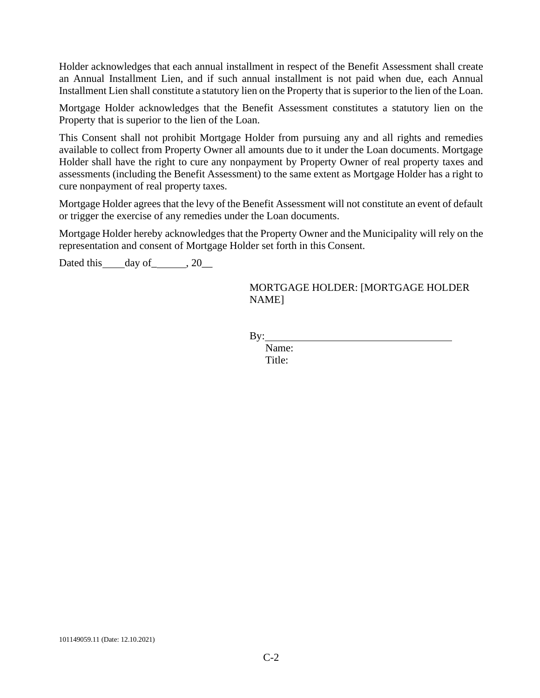Holder acknowledges that each annual installment in respect of the Benefit Assessment shall create an Annual Installment Lien, and if such annual installment is not paid when due, each Annual Installment Lien shall constitute a statutory lien on the Property that is superior to the lien of the Loan.

Mortgage Holder acknowledges that the Benefit Assessment constitutes a statutory lien on the Property that is superior to the lien of the Loan.

This Consent shall not prohibit Mortgage Holder from pursuing any and all rights and remedies available to collect from Property Owner all amounts due to it under the Loan documents. Mortgage Holder shall have the right to cure any nonpayment by Property Owner of real property taxes and assessments (including the Benefit Assessment) to the same extent as Mortgage Holder has a right to cure nonpayment of real property taxes.

Mortgage Holder agrees that the levy of the Benefit Assessment will not constitute an event of default or trigger the exercise of any remedies under the Loan documents.

Mortgage Holder hereby acknowledges that the Property Owner and the Municipality will rely on the representation and consent of Mortgage Holder set forth in this Consent.

Dated this  $\_\$ {day \ of \\_\\_\\_\\_}, 20 $\_\_\_\$ 

MORTGAGE HOLDER: [MORTGAGE HOLDER NAME]

 $By:$ 

Name: Title: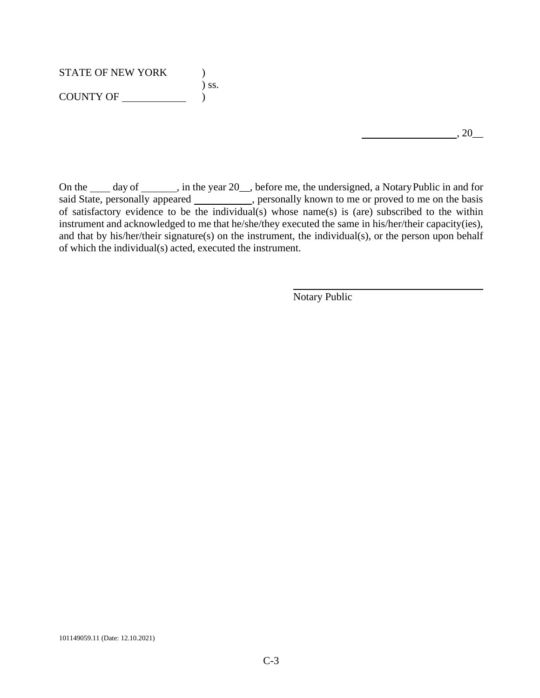# STATE OF NEW YORK  $)$ ) ss. COUNTY OF )

On the <u>J</u> day of \_\_\_\_, in the year 20<sub>\_\_</sub>, before me, the undersigned, a NotaryPublic in and for said State, personally appeared \_\_\_\_\_\_\_\_\_\_\_, personally known to me or proved to me on the basis of satisfactory evidence to be the individual(s) whose name(s) is (are) subscribed to the within instrument and acknowledged to me that he/she/they executed the same in his/her/their capacity(ies), and that by his/her/their signature(s) on the instrument, the individual(s), or the person upon behalf of which the individual(s) acted, executed the instrument.

Notary Public